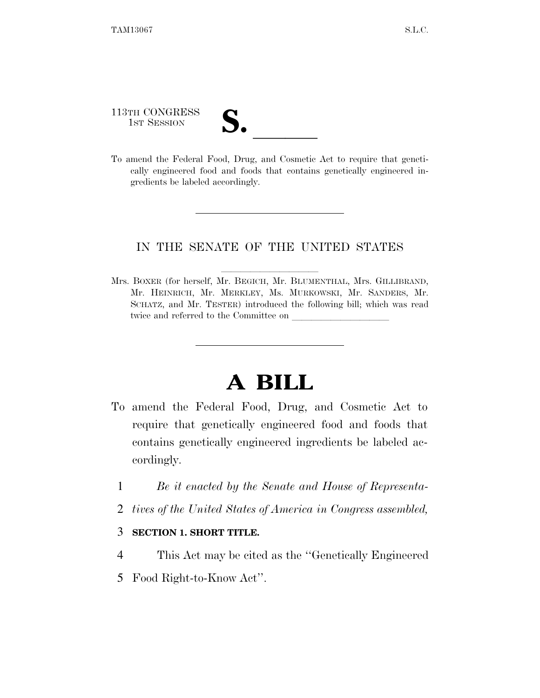113TH CONGRESS

113TH CONGRESS<br>
1ST SESSION<br>
To amend the Federal Food, Drug, and Cosmetic Act to require that genetically engineered food and foods that contains genetically engineered ingredients be labeled accordingly.

## IN THE SENATE OF THE UNITED STATES

Mrs. BOXER (for herself, Mr. BEGICH, Mr. BLUMENTHAL, Mrs. GILLIBRAND, Mr. HEINRICH, Mr. MERKLEY, Ms. MURKOWSKI, Mr. SANDERS, Mr. SCHATZ, and Mr. TESTER) introduced the following bill; which was read twice and referred to the Committee on

## **A BILL**

- To amend the Federal Food, Drug, and Cosmetic Act to require that genetically engineered food and foods that contains genetically engineered ingredients be labeled accordingly.
	- 1 *Be it enacted by the Senate and House of Representa-*
	- 2 *tives of the United States of America in Congress assembled,*

## 3 **SECTION 1. SHORT TITLE.**

- 4 This Act may be cited as the ''Genetically Engineered
- 5 Food Right-to-Know Act''.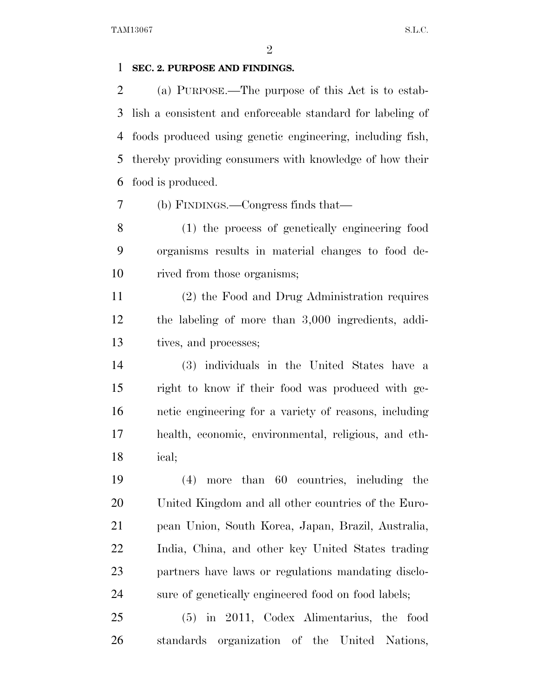$\mathfrak{D}$ 

## **SEC. 2. PURPOSE AND FINDINGS.**

 (a) PURPOSE.—The purpose of this Act is to estab- lish a consistent and enforceable standard for labeling of foods produced using genetic engineering, including fish, thereby providing consumers with knowledge of how their food is produced.

(b) FINDINGS.—Congress finds that—

 (1) the process of genetically engineering food organisms results in material changes to food de-rived from those organisms;

 (2) the Food and Drug Administration requires the labeling of more than 3,000 ingredients, addi-tives, and processes;

 (3) individuals in the United States have a right to know if their food was produced with ge- netic engineering for a variety of reasons, including health, economic, environmental, religious, and eth-ical;

 (4) more than 60 countries, including the United Kingdom and all other countries of the Euro- pean Union, South Korea, Japan, Brazil, Australia, India, China, and other key United States trading partners have laws or regulations mandating disclo-sure of genetically engineered food on food labels;

 (5) in 2011, Codex Alimentarius, the food standards organization of the United Nations,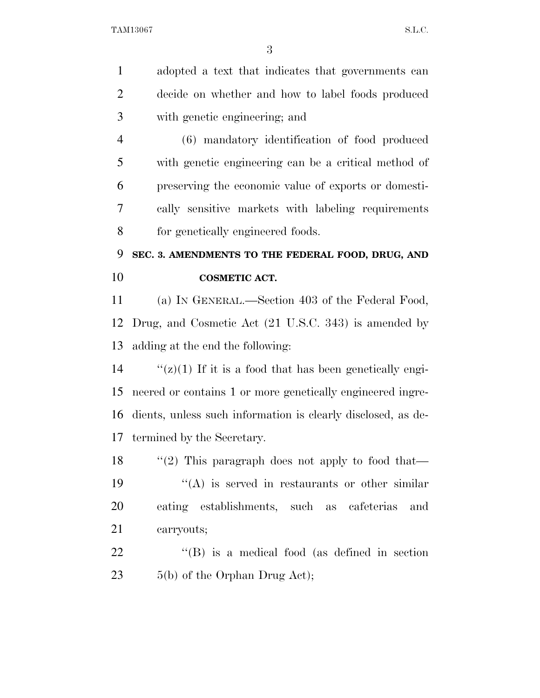adopted a text that indicates that governments can decide on whether and how to label foods produced with genetic engineering; and (6) mandatory identification of food produced with genetic engineering can be a critical method of preserving the economic value of exports or domesti- cally sensitive markets with labeling requirements for genetically engineered foods. **SEC. 3. AMENDMENTS TO THE FEDERAL FOOD, DRUG, AND COSMETIC ACT.**  (a) IN GENERAL.—Section 403 of the Federal Food, Drug, and Cosmetic Act (21 U.S.C. 343) is amended by adding at the end the following:  $\frac{f'(z)}{1}$  If it is a food that has been genetically engi- neered or contains 1 or more genetically engineered ingre- dients, unless such information is clearly disclosed, as de- termined by the Secretary. 18 "(2) This paragraph does not apply to food that—  $\langle \text{A} \rangle$  is served in restaurants or other similar eating establishments, such as cafeterias and carryouts; 22 "(B) is a medical food (as defined in section  $5(b)$  of the Orphan Drug Act);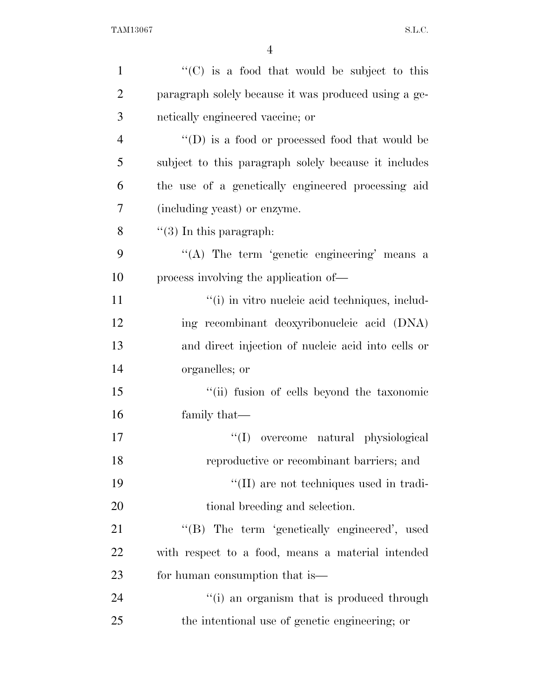| $\mathbf{1}$   | "(C) is a food that would be subject to this           |
|----------------|--------------------------------------------------------|
| $\overline{2}$ | paragraph solely because it was produced using a ge-   |
| 3              | netically engineered vaccine; or                       |
| $\overline{4}$ | $\lq\lq$ (D) is a food or processed food that would be |
| 5              | subject to this paragraph solely because it includes   |
| 6              | the use of a genetically engineered processing aid     |
| 7              | (including yeast) or enzyme.                           |
| 8              | $\lq(3)$ In this paragraph:                            |
| 9              | "(A) The term 'genetic engineering' means a            |
| 10             | process involving the application of—                  |
| 11             | "(i) in vitro nucleic acid techniques, includ-         |
| 12             | ing recombinant deoxyribonucleic acid (DNA)            |
| 13             | and direct injection of nucleic acid into cells or     |
| 14             | organelles; or                                         |
| 15             | "(ii) fusion of cells beyond the taxonomic             |
| 16             | family that—                                           |
| 17             | ``(I)<br>overcome natural physiological                |
| 18             | reproductive or recombinant barriers; and              |
| 19             | "(II) are not techniques used in tradi-                |
| 20             | tional breeding and selection.                         |
| 21             | "(B) The term 'genetically engineered', used           |
| 22             | with respect to a food, means a material intended      |
| 23             | for human consumption that is—                         |
| 24             | "(i) an organism that is produced through              |
| 25             | the intentional use of genetic engineering; or         |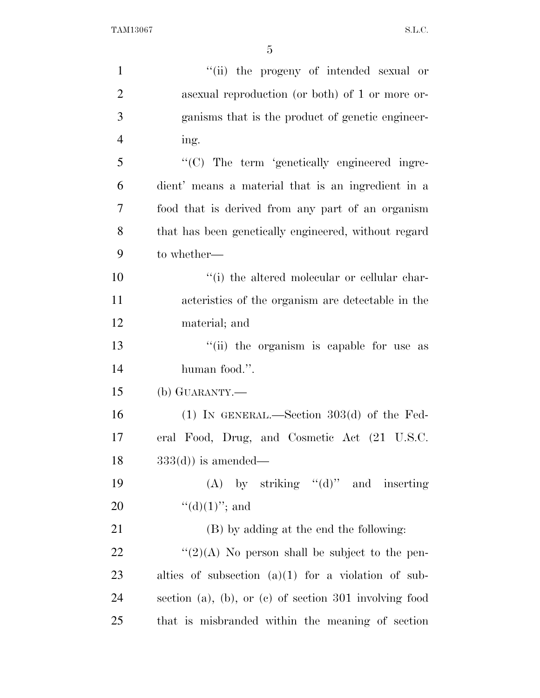| $\mathbf{1}$   | "(ii) the progeny of intended sexual or                  |
|----------------|----------------------------------------------------------|
| $\overline{2}$ | as a sexual reproduction (or both) of 1 or more or-      |
| 3              | ganisms that is the product of genetic engineer-         |
| $\overline{4}$ | ing.                                                     |
| 5              | "(C) The term 'genetically engineered ingre-             |
| 6              | dient' means a material that is an ingredient in a       |
| 7              | food that is derived from any part of an organism        |
| 8              | that has been genetically engineered, without regard     |
| 9              | to whether—                                              |
| 10             | "(i) the altered molecular or cellular char-             |
| 11             | acteristics of the organism are detectable in the        |
| 12             | material; and                                            |
| 13             | "(ii) the organism is capable for use as                 |
| 14             | human food.".                                            |
| 15             | (b) GUARANTY.—                                           |
| 16             | $(1)$ IN GENERAL.—Section 303 $(d)$ of the Fed-          |
| 17             | eral Food, Drug, and Cosmetic Act (21 U.S.C.             |
| 18             | $333(d)$ is amended—                                     |
| 19             | (A) by striking " $(d)$ " and inserting                  |
| 20             | " $(d)(1)$ "; and                                        |
| 21             | (B) by adding at the end the following:                  |
| 22             | " $(2)(A)$ No person shall be subject to the pen-        |
| 23             | alties of subsection $(a)(1)$ for a violation of sub-    |
| 24             | section (a), (b), or (c) of section $301$ involving food |
| 25             | that is misbranded within the meaning of section         |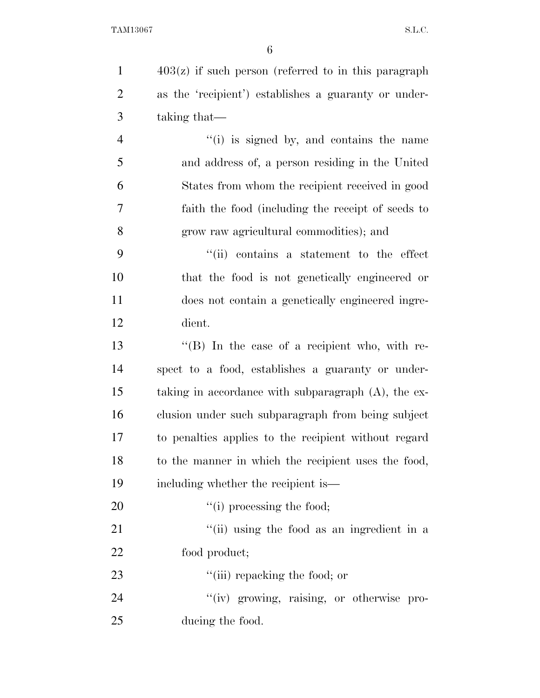403(z) if such person (referred to in this paragraph as the 'recipient') establishes a guaranty or under- taking that— ''(i) is signed by, and contains the name and address of, a person residing in the United States from whom the recipient received in good faith the food (including the receipt of seeds to grow raw agricultural commodities); and ''(ii) contains a statement to the effect that the food is not genetically engineered or does not contain a genetically engineered ingre- dient. 13 ''(B) In the case of a recipient who, with re- spect to a food, establishes a guaranty or under- taking in accordance with subparagraph (A), the ex-clusion under such subparagraph from being subject

 to penalties applies to the recipient without regard to the manner in which the recipient uses the food, including whether the recipient is—

20  $"(i)$  processing the food; 21 ''(ii) using the food as an ingredient in a

food product;

23  $\frac{1}{2}$   $\frac{1}{2}$   $\frac{1}{2}$  repacking the food; or

24  $''(iv)$  growing, raising, or otherwise pro-ducing the food.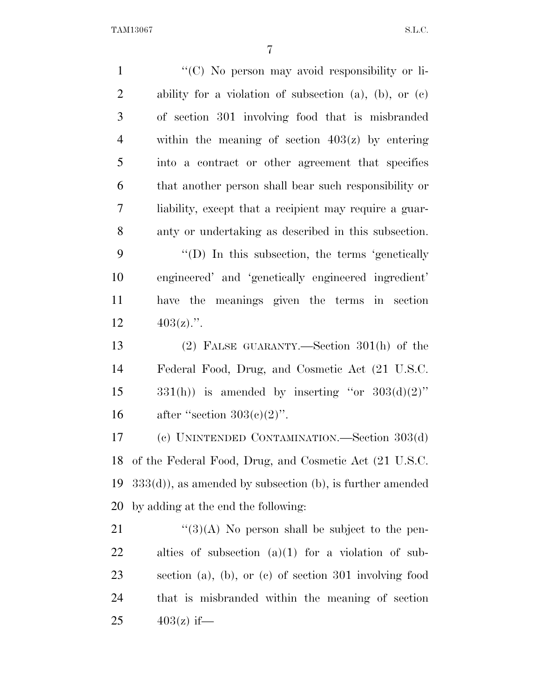TAM13067 S.L.C.

| $\mathbf{1}$   | "(C) No person may avoid responsibility or li-                 |
|----------------|----------------------------------------------------------------|
| $\overline{2}$ | ability for a violation of subsection (a), (b), or $(c)$       |
| 3              | of section 301 involving food that is misbranded               |
| $\overline{4}$ | within the meaning of section $403(z)$ by entering             |
| 5              | into a contract or other agreement that specifies              |
| 6              | that another person shall bear such responsibility or          |
| 7              | liability, except that a recipient may require a guar-         |
| 8              | anty or undertaking as described in this subsection.           |
| 9              | "(D) In this subsection, the terms 'genetically                |
| 10             | engineered' and 'genetically engineered ingredient'            |
| 11             | have the meanings given the terms in section                   |
| 12             | $403(z)$ .".                                                   |
| 13             | $(2)$ FALSE GUARANTY.—Section 301(h) of the                    |
| 14             | Federal Food, Drug, and Cosmetic Act (21 U.S.C.                |
| 15             | $331(h)$ ) is amended by inserting "or $303(d)(2)$ "           |
| 16             | after "section $303(c)(2)$ ".                                  |
| 17             | (c) UNINTENDED CONTAMINATION.—Section 303(d)                   |
| 18             | of the Federal Food, Drug, and Cosmetic Act (21 U.S.C.         |
| 19             | $333(d)$ , as amended by subsection (b), is further amended    |
| 20             | by adding at the end the following:                            |
| 21             | $\lq(3)(A)$ No person shall be subject to the pen-             |
| 22             | alties of subsection $(a)(1)$ for a violation of sub-          |
| 23             | section $(a)$ , $(b)$ , or $(c)$ of section 301 involving food |
| 24             | that is misbranded within the meaning of section               |
| 25             | $403(z)$ if—                                                   |